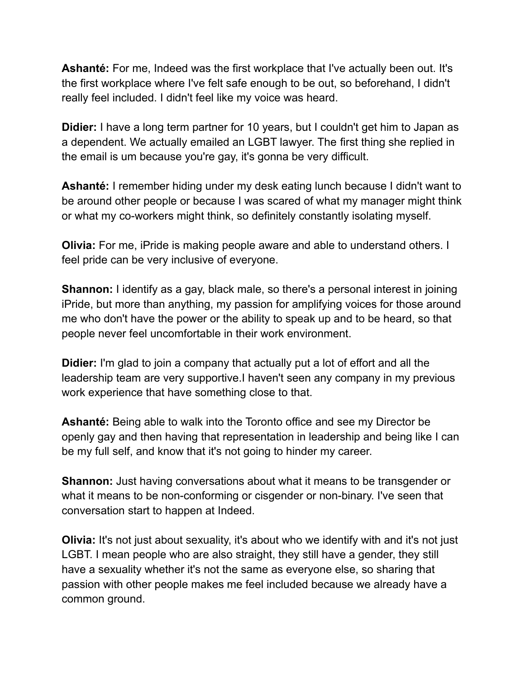**Ashanté:** For me, Indeed was the first workplace that I've actually been out. It's the first workplace where I've felt safe enough to be out, so beforehand, I didn't really feel included. I didn't feel like my voice was heard.

**Didier:** I have a long term partner for 10 years, but I couldn't get him to Japan as a dependent. We actually emailed an LGBT lawyer. The first thing she replied in the email is um because you're gay, it's gonna be very difficult.

**Ashanté:** I remember hiding under my desk eating lunch because I didn't want to be around other people or because I was scared of what my manager might think or what my co-workers might think, so definitely constantly isolating myself.

**Olivia:** For me, iPride is making people aware and able to understand others. I feel pride can be very inclusive of everyone.

**Shannon:** I identify as a gay, black male, so there's a personal interest in joining iPride, but more than anything, my passion for amplifying voices for those around me who don't have the power or the ability to speak up and to be heard, so that people never feel uncomfortable in their work environment.

**Didier:** I'm glad to join a company that actually put a lot of effort and all the leadership team are very supportive.I haven't seen any company in my previous work experience that have something close to that.

**Ashanté:** Being able to walk into the Toronto office and see my Director be openly gay and then having that representation in leadership and being like I can be my full self, and know that it's not going to hinder my career.

**Shannon:** Just having conversations about what it means to be transgender or what it means to be non-conforming or cisgender or non-binary. I've seen that conversation start to happen at Indeed.

**Olivia:** It's not just about sexuality, it's about who we identify with and it's not just LGBT. I mean people who are also straight, they still have a gender, they still have a sexuality whether it's not the same as everyone else, so sharing that passion with other people makes me feel included because we already have a common ground.